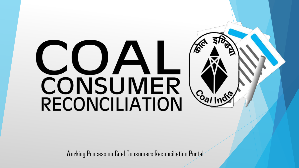# CUAI **CONSUMER**<br>RECONCILIATION Callnd<sup>o</sup>

Working Process on Coal Consumers Reconciliation Portal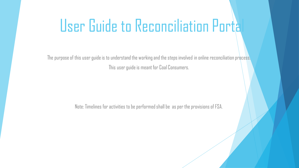## User Guide to Reconciliation Portal

The purpose of this user guide is to understand the working and the steps involved in online reconciliation process. This user guide is meant for Coal Consumers.

Note: Timelines for activities to be performed shall be as per the provisions of FSA.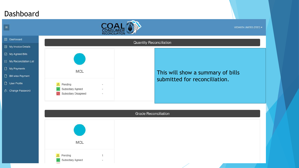#### Dashboard

 $\boxed{=}$ 



|                                    | RECONCILIATION                                                                                    |                                   |
|------------------------------------|---------------------------------------------------------------------------------------------------|-----------------------------------|
| 88 Dashboard                       |                                                                                                   | <b>Quantity Reconciliation</b>    |
| My Invoice Details                 |                                                                                                   |                                   |
| ○ My Agreed Bills                  |                                                                                                   |                                   |
| <sup>2</sup> My Reconcilation List |                                                                                                   |                                   |
| My Payments                        | <b>MCL</b>                                                                                        |                                   |
| Bill wise Payment                  |                                                                                                   | This will show a summary of bills |
| User Profile                       | Pending                                                                                           | submitted for reconciliation.     |
| A. Change Password                 | Subsidiary Agreed<br>$\overline{\phantom{a}}$<br>Subsidiary Disagreed<br>$\overline{\phantom{a}}$ |                                   |
|                                    |                                                                                                   |                                   |
|                                    |                                                                                                   | <b>Grade Reconciliation</b>       |
|                                    | MCL                                                                                               |                                   |
|                                    | Pending<br>1<br>Subsidiary Agreed<br>$\rightarrow$                                                |                                   |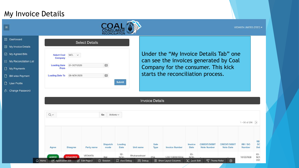#### My Invoice Details



| <b>Dashboard</b>         |                               | <b>Select Details</b> |               |
|--------------------------|-------------------------------|-----------------------|---------------|
| My Invoice Details       |                               |                       |               |
| Ay Agreed Bills          | <b>Select Coal</b><br>Company | MCL<br>$\sim$         |               |
| My Reconcilation List    |                               |                       |               |
| <b>Ay Payments</b>       | <b>Loading Date</b><br>From   | 01-OCT-2020           | 宙             |
| <b>Bill wise Payment</b> | <b>Loading Date To</b>        | 08-NOV-2020           | 宙             |
| <b>Jser Profile</b>      |                               |                       | <b>Submit</b> |

Under the "My Invoice Details Tab" one can see the invoices generated by Coal Company for the consumer. This kick starts the reconciliation process.

VEDANTA LIMITED (TEST) v

A. Change Password

88

圓

 $\boxdot$ 

 $\Box$ 

 $\Box$ 

 $\Box$ 

|              |                                       |                          |                          |                                       |                          | <b>Invoice Details</b> |                                                   |                                  |                                           |                                         |                   |                                               |
|--------------|---------------------------------------|--------------------------|--------------------------|---------------------------------------|--------------------------|------------------------|---------------------------------------------------|----------------------------------|-------------------------------------------|-----------------------------------------|-------------------|-----------------------------------------------|
| $Q \vee$     |                                       |                          | Go<br>Actions $\vee$     |                                       |                          |                        |                                                   |                                  |                                           |                                         | 1 - 50 of 296 $($ |                                               |
| Agree        | <b>Disagree</b>                       | Party name               | <b>Dispatch</b><br>mode  | Loading<br>Date                       | Unit name                | Sale<br>Type           | <b>Invoice Number</b>                             | Invoice<br>Date                  | <b>CREDIT/DEBIT</b><br><b>Note Number</b> | <b>CREDIT/DEBIT</b><br><b>Note Date</b> | RR/DO<br>Number   | <b>RR</b><br>Dat                              |
| <b>AGREE</b> | <b>DISAGREE</b><br>My Application 223 | VEDANTA<br>2 Edit Page 2 | Rail<br><b>4</b> Session | $02 -$<br>NOV-<br><b>另</b> View Debug | Bhubaneshwari<br>没 Debug | ESA                    | 1/2011/9092/0034<br><b>ED</b> Show Layout Columns | $05 -$<br>NOV-<br>[N] Quick Edit | Theme Roller                              | ශ                                       | 161007608         | $03 -$<br>NO <sub>1</sub><br>202 <sub>i</sub> |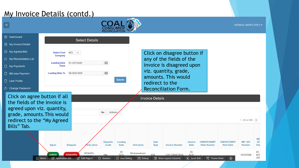#### My Invoice Details (contd.)

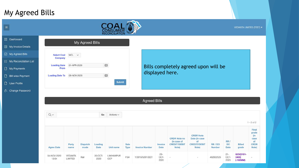#### My Agreed Bills



| ᇔ   | Dashboard                |                               | My Agreed Bills     |   |               |
|-----|--------------------------|-------------------------------|---------------------|---|---------------|
| lΞ  | My Invoice Details       |                               |                     |   |               |
| ⊵   | My Agreed Bills          | <b>Select Coal</b><br>Company | MCL<br>$\checkmark$ |   |               |
|     | 這 My Reconcilation List  |                               |                     |   |               |
| ۹   | My Payments              | <b>Loading Date</b><br>From   | 01-APR-2020         | 宙 |               |
| ۹ ا | <b>Bill wise Payment</b> | <b>Loading Date To</b>        | 08-NOV-2020         | 宙 |               |
|     | <b>User Profile</b>      |                               |                     |   | <b>Submit</b> |

#### Bills completely agreed upon will be displayed here.

VEDANTA LIMITED (TEST)

A. Change Password

 $\vert$ 

**BB** Dashboa

|                      | <b>Agreed Bills</b> |                         |                 |                       |              |                       |                        |                                                                    |                                                                          |                 |                        |                                  |                                                                               |
|----------------------|---------------------|-------------------------|-----------------|-----------------------|--------------|-----------------------|------------------------|--------------------------------------------------------------------|--------------------------------------------------------------------------|-----------------|------------------------|----------------------------------|-------------------------------------------------------------------------------|
| $Q \vee$             |                     |                         | Go              | Actions $\smallsmile$ |              |                       |                        |                                                                    |                                                                          |                 |                        |                                  |                                                                               |
| <b>Agree Date</b>    | Party<br>name       | <b>Dispatch</b><br>mode | Loading<br>Date | <b>Unit name</b>      | Sale<br>Type | <b>Invoice Number</b> | Invoice<br><b>Date</b> | <b>CRDR Note no</b><br>(in case of<br><b>CREDIT/DEBIT</b><br>Note) | <b>CRDR Note</b><br>Date (in case)<br>of<br><b>CREDIT/DEBIT</b><br>Note) | RR/DO<br>Number | RR/<br>DO<br>Date      | <b>Billed</b><br>grade           | $1 - 2$ of $2$<br>Final<br>grade<br>(n)<br>case<br>of<br><b>CRDR</b><br>Note) |
| 04-NOV-2020<br>13:04 | VEDANTA<br>LIMITED  | Rail                    | 20-OCT-<br>2020 | LAKHANPUR<br>OCP      | FSA          | 1/2010/5201/0221      | $29 -$<br>OCT-<br>2020 | ×                                                                  | $\sim$                                                                   | 462002525       | $21 -$<br>OCT-<br>2020 | GCV(3101-<br>3400)<br>$(-100MM)$ |                                                                               |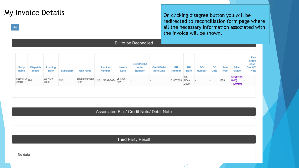My Invoice Details  $\log_{10}$  Details redirected to reconciliation form page where all the necessary information associated with the invoice will be shown.

|                    |                         |                 |                   |                      |                          |                 | <b>Bill to be Reconciled</b>          |                                 |                            |                          |                     |                   |              |                                  |                                                |
|--------------------|-------------------------|-----------------|-------------------|----------------------|--------------------------|-----------------|---------------------------------------|---------------------------------|----------------------------|--------------------------|---------------------|-------------------|--------------|----------------------------------|------------------------------------------------|
| Party<br>name      | <b>Dispatch</b><br>mode | Loading<br>Date | <b>Subsidiary</b> | Unit name            | <b>Invoice</b><br>Number | Invoice<br>Date | <b>Credit/Debit</b><br>note<br>Number | <b>Credt/Debit</b><br>note Date | <b>RR</b><br><b>Number</b> | <b>RR</b><br><b>Date</b> | DO<br><b>Number</b> | DO<br><b>Date</b> | Sale<br>type | <b>Billed</b><br>Grade           | Fina<br>grade<br>case<br>Credit/<br><b>Not</b> |
| VEDANTA<br>LIMITED |                         | 02-NOV-<br>2020 | MCL               | Bhubaneshwari<br>OCP | 1/2011/9092/0034         | 05-NOV-<br>2020 |                                       |                                 | 161007608                  | 03-<br>NOV-<br>2020      |                     |                   | <b>FSA</b>   | GCV(3701-<br>4000)<br>$(-100MM)$ |                                                |

Associated Bills/ Credit Note/ Debit Note

Third Party Result

 $\Leftrightarrow$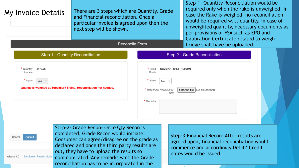| My Invoice Details                                             | There are 3 steps which are Quantity, Grade<br>and Financial reconciliation. Once a<br>particular invoice is agreed upon then the<br>next step will be shown.<br>Reconcile Form                                                                                                                                          |                                                                                                   | Step-1 - Quantity Reconciliation would be<br>required only when the rake is unweighed. In<br>case the Rake is weighed, no reconciliation<br>would be required w.r.t quantity. In case of<br>unweighted quantity, necessary documents as<br>per provisions of FSA such as EPO and<br>Calibration Certificate related to weigh<br>bridge shall have be uploaded. |
|----------------------------------------------------------------|--------------------------------------------------------------------------------------------------------------------------------------------------------------------------------------------------------------------------------------------------------------------------------------------------------------------------|---------------------------------------------------------------------------------------------------|----------------------------------------------------------------------------------------------------------------------------------------------------------------------------------------------------------------------------------------------------------------------------------------------------------------------------------------------------------------|
| * Quantity<br>3479.76<br>(tonnes)<br>* Agree<br>Yes $\sqrt{ }$ | Step 1 - Quantity Reconciliation<br>Quanity is weighed at Subsidiary Siding. Reconciliation not needed.                                                                                                                                                                                                                  | GCV(3701-4000) (-100MM)<br>Billed<br>Grade<br>* Agree<br>No<br>* Third Party Result Docu-<br>ment | Step 2 - Grade Reconciliation<br>Choose file   No file chosen                                                                                                                                                                                                                                                                                                  |
| <b>Submit</b><br>Cancel<br>Set Screen Reader Mode              | Step-2- Grade Recon- Once Qty Recon is<br>completed, Grade Recon would initiate.<br>Consumer can agree/disagree on the grade as<br>declared and once the third party results are<br>out, they have to upload the results so<br>communicated. Any remarks w.r.t the Grade<br>reconciliation has to be incorporated in the | * Remarks                                                                                         | Step-3-Financial Recon- After results are<br>agreed upon, financial reconciliation would<br>commence and accordingly Debit/ Credit<br>notes would be issued.                                                                                                                                                                                                   |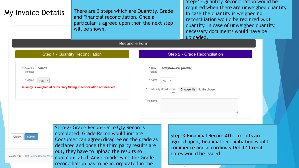| My Invoice Details                                                                                                         | There are 3 steps which are Quantity, Grade<br>and Financial reconciliation. Once a<br>particular is agreed upon then the next step<br>will be shown.                                                                                                                                                                    |                                                                    |                                 | Step-1- Quantity Reconciliation would be<br>required when there are unweighed quantity.<br>In case the quantity is weighed no<br>reconciliation would be required w.r.t<br>quantity. In case of unweighed quantity,<br>necessary documents would have be<br>uploaded. |  |
|----------------------------------------------------------------------------------------------------------------------------|--------------------------------------------------------------------------------------------------------------------------------------------------------------------------------------------------------------------------------------------------------------------------------------------------------------------------|--------------------------------------------------------------------|---------------------------------|-----------------------------------------------------------------------------------------------------------------------------------------------------------------------------------------------------------------------------------------------------------------------|--|
|                                                                                                                            | Reconcile Form                                                                                                                                                                                                                                                                                                           |                                                                    |                                 |                                                                                                                                                                                                                                                                       |  |
|                                                                                                                            | Step 1 - Quantity Reconciliation                                                                                                                                                                                                                                                                                         |                                                                    |                                 | Step 2 - Grade Reconciliation                                                                                                                                                                                                                                         |  |
| 3479.76<br>* Quantity<br>(tonnes)<br>* Agree<br>Yes<br>Quanity is weighed at Subsidiary Siding. Reconciliation not needed. |                                                                                                                                                                                                                                                                                                                          | Grade<br>* Agree<br>No.<br>* Third Party Result Docu-<br>* Remarks | GCV(3701-4000) (-100MM)<br>ment | Choose file   No file chosen                                                                                                                                                                                                                                          |  |
| <b>Submit</b><br>Cancel<br>Set Screen Reader Mode<br>release 1.0                                                           | Step-2- Grade Recon- Once Qty Recon is<br>completed, Grade Recon would initiate.<br>Consumer can agree/disagree on the grade as<br>declared and once the third party results are<br>out, they have to upload the results so<br>communicated. Any remarks w.r.t the Grade<br>reconciliation has to be incorporated in the |                                                                    |                                 | Step-3-Financial Recon- After results are<br>agreed upon, financial reconciliation would<br>commence and accordingly Debit/ Credit<br>notes would be issued.                                                                                                          |  |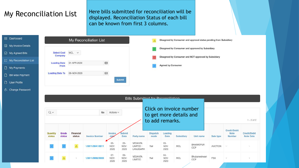#### My Reconciliation List

Here bills submitted for reconciliation will be displayed. Reconciliation Status of each bill can be known from first 3 columns.

| <b>品</b> Dashboard       |                               | My Reconciliation List |   |               | Disagreed by Consumer and approval status pending from Subsidiary |
|--------------------------|-------------------------------|------------------------|---|---------------|-------------------------------------------------------------------|
| My Invoice Details       |                               |                        |   |               | Disagreed by Consumer and approved by Subsidiary                  |
| My Agreed Bills          | <b>Select Coal</b><br>Company | $MCL \sim$             |   |               | Disagreed by Consumer and NOT approved by Subsidiary              |
| 這 My Reconcilation List  | <b>Loading Date</b>           | 01-APR-2020            | 田 |               |                                                                   |
| My Payments              | From                          |                        |   |               | <b>Agreed by Consumer</b>                                         |
| <b>Bill wise Payment</b> | <b>Loading Date To</b>        | 08-NOV-2020            | 田 |               |                                                                   |
| User Profile             |                               |                        |   | <b>Submit</b> |                                                                   |

**A.** Change Password

|                    |                 |                     |                       |                         |                        | <b>Bills Submitted for Reconciliation</b>       |                         |                        |                                                    |                         |                |                                |                                  |
|--------------------|-----------------|---------------------|-----------------------|-------------------------|------------------------|-------------------------------------------------|-------------------------|------------------------|----------------------------------------------------|-------------------------|----------------|--------------------------------|----------------------------------|
| $Q \vee$           |                 |                     | Go                    | Actions $\vee$          |                        |                                                 | to add remarks.         |                        | Click on invoice number<br>to get more details and |                         |                |                                | $1 - 2$ of $2$                   |
| Quantity<br>status | Grade<br>status | Financial<br>status | <b>Invoice Number</b> | Invoice<br>$_{\rm day}$ | Submit<br>Date         | Party name                                      | <b>Dispatch</b><br>mode | Loading<br><b>Date</b> | Subsidiary                                         | Unit name               | Sale type      | Credit/Debit<br>Note<br>Number | Credit/Debit<br><b>Note Date</b> |
|                    |                 | $\Delta$            | 1/2011/9041/0011      | $05 -$<br>NOV-<br>2020  | $09-$<br>NOV-<br>2020  | <b>VEDANTA</b><br>LIMITED -<br><b>LANJIGARH</b> | Rail                    | $03 -$<br>NOV-<br>2020 | MCL                                                | <b>BHARATPUR</b><br>OCP | <b>AUCTION</b> | ä.                             | u                                |
|                    | Δ               | 뜻                   | 1/2011/9092/0055      | $07 -$<br>NOV-<br>2020  | $09 -$<br>NOV-<br>2020 | <b>VEDANTA</b><br>LIMITED                       | Rail                    | $04-$<br>NOV-<br>2020  | MCL                                                | Bhubaneshwari<br>OCP    | <b>FSA</b>     | $\sim$                         |                                  |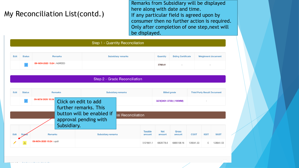#### My Reconciliation List(contd.)

Remarks from Subsidiary will be displayed here along with date and time. If any particular field is agreed upon by consumer then no further action is required. Only after completion of one step,next will be displayed.

|      | Step 1 - Quantity Reconciliation |                            |                           |                 |                           |                           |  |  |  |  |  |  |
|------|----------------------------------|----------------------------|---------------------------|-----------------|---------------------------|---------------------------|--|--|--|--|--|--|
|      |                                  |                            |                           |                 |                           |                           |  |  |  |  |  |  |
| Edit | <b>Status</b>                    | <b>Remarks</b>             | <b>Subsidiary remarks</b> | <b>Quantity</b> | <b>Siding Certificate</b> | <b>Weighment document</b> |  |  |  |  |  |  |
|      |                                  | 09-NOV-2020 15:24 : AGREED |                           | 3768.41         | $\overline{\phantom{a}}$  | $\sim$                    |  |  |  |  |  |  |

|      | Step 2 - Grade Reconciliation                                                                                                            |                   |             |                           |                    |                          |                         |                        |             |             |             |  |  |
|------|------------------------------------------------------------------------------------------------------------------------------------------|-------------------|-------------|---------------------------|--------------------|--------------------------|-------------------------|------------------------|-------------|-------------|-------------|--|--|
|      | <b>Edit</b><br><b>Status</b><br><b>Remarks</b><br><b>Subsidiary remarks</b><br><b>Billed grade</b><br><b>Third Party Result Document</b> |                   |             |                           |                    |                          |                         |                        |             |             |             |  |  |
|      |                                                                                                                                          | 09-NOV-2020 15:24 |             | Click on edit to add      |                    |                          | GCV(3401-3700) (-100MM) |                        |             |             |             |  |  |
|      |                                                                                                                                          |                   |             | further remarks. This     |                    |                          |                         |                        |             |             |             |  |  |
|      |                                                                                                                                          |                   |             | button will be enabled if | ial Reconciliation |                          |                         |                        |             |             |             |  |  |
|      |                                                                                                                                          |                   | Subsidiary. | approval pending with     |                    |                          |                         |                        |             |             |             |  |  |
| Edit |                                                                                                                                          | <b>Remarks</b>    |             | <b>Subsidiary remarks</b> |                    | <b>Taxable</b><br>amount | <b>Net</b><br>amount    | <b>Gross</b><br>amount | <b>CGST</b> | <b>IGST</b> | <b>SGST</b> |  |  |
|      | 09-NOV-2020 15:24 : updt                                                                                                                 |                   |             |                           |                    | 5121661.1                | 6829778.6               | 6885108.16             | 128041.53   | $\Omega$    | 128041.53   |  |  |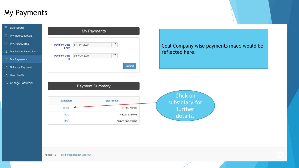### My Payments

 $\overline{c}$ 

| <b>B</b> Dashboard             |                             | My Payments     |                     |                                          |
|--------------------------------|-----------------------------|-----------------|---------------------|------------------------------------------|
| My Invoice Details             |                             |                 |                     |                                          |
| d My Agreed Bills              | <b>Payment Date</b><br>From | 01-APR-2020     | 田                   | Coal Company wise payments made would be |
| $\equiv$ My Reconcilation List |                             |                 |                     | reflected here.                          |
| My Payments                    | <b>Payment Date</b><br>To   | 08-NOV-2020     | $\boxplus$          |                                          |
| Bill wise Payment              |                             |                 |                     | Submit                                   |
| User Profile                   |                             |                 |                     |                                          |
| Change Password                |                             | Payment Summary |                     |                                          |
|                                | Subsidiary                  |                 | <b>Total Amount</b> | Click on<br>subsidiary for               |
|                                | <b>SECL</b>                 |                 |                     | 93,695,712.00<br>further                 |
|                                | <b>NCL</b>                  |                 |                     | 530, 345, 789. 98<br>details.            |
|                                | MCL                         |                 |                     | 13,806,589,850.83                        |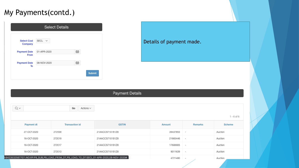#### My Payments(contd.)

3:64

|                                      | <b>Select Details</b> |   |               |
|--------------------------------------|-----------------------|---|---------------|
| <b>Select Coal</b><br><b>Company</b> | SECL $\vee$           |   |               |
| <b>Payment Date</b><br>From          | 01-APR-2020           | 锚 |               |
| <b>Payment Date</b><br>To            | 08-NOV-2020           | 锚 |               |
|                                      |                       |   | <b>Submit</b> |

#### Details of payment made.

#### **Payment Details**

| $Q \vee$ |                   | Go<br>Actions $\sim$                                                                  |                 |          |                          |               |
|----------|-------------------|---------------------------------------------------------------------------------------|-----------------|----------|--------------------------|---------------|
|          |                   |                                                                                       |                 |          |                          | 1 - 6 of 6    |
|          | <b>Payment dt</b> | <b>Transaction id</b>                                                                 | <b>GSTIN</b>    | Amount   | <b>Remarks</b>           | <b>Scheme</b> |
|          | 27-OCT-2020       | 272539                                                                                | 21AACCS7101B1Z8 | 39437853 | $\overline{\phantom{a}}$ | Auction       |
|          | 16-OCT-2020       | 272019                                                                                | 21AACCS7101B1Z8 | 21665446 | $\overline{\phantom{a}}$ | Auction       |
|          | 16-OCT-2020       | 272017                                                                                | 21AACCS7101B1Z8 | 17606905 | $\sim$                   | Auction       |
|          | 16-OCT-2020       | 272013                                                                                | 21AACCS7101B1Z8 | 9011639  | $\sim$                   | Auction       |
|          |                   | 23532567707::NO:RP:P9_SUB,P9_LOAD_FROM_DT,P9_LOAD_TO_DT:SECL,01-APR-2020,08-NOV-2020# |                 | 4721480  | $\sim$                   | Auction       |